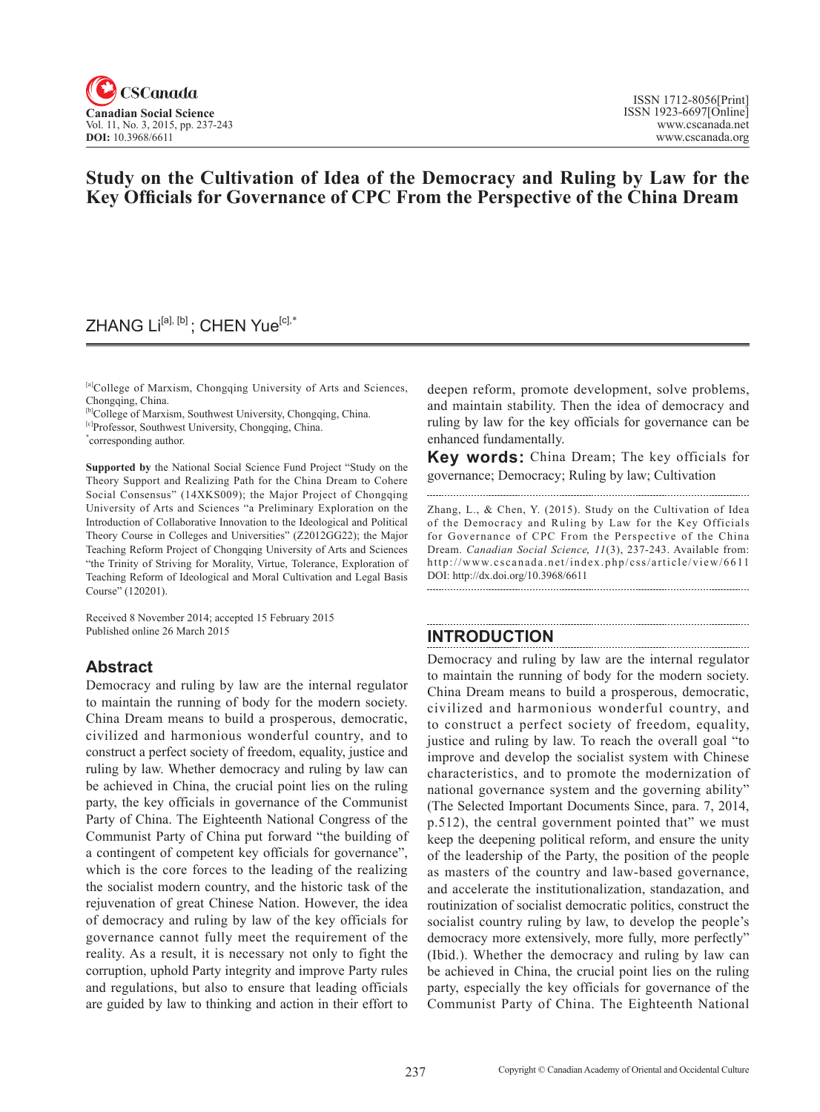

# **Study on the Cultivation of Idea of the Democracy and Ruling by Law for the Key Officials for Governance of CPC From the Perspective of the China Dream**

## ZHANG Li<sup>[a], [b]</sup>; CHEN Yue<sup>[c],\*</sup>

[a]College of Marxism, Chongqing University of Arts and Sciences, Chongqing, China.

[b]College of Marxism, Southwest University, Chongqing, China.

[c]Professor, Southwest University, Chongqing, China.

\* corresponding author.

**Supported by** the National Social Science Fund Project "Study on the Theory Support and Realizing Path for the China Dream to Cohere Social Consensus" (14XKS009); the Major Project of Chongqing University of Arts and Sciences "a Preliminary Exploration on the Introduction of Collaborative Innovation to the Ideological and Political Theory Course in Colleges and Universities" (Z2012GG22); the Major Teaching Reform Project of Chongqing University of Arts and Sciences "the Trinity of Striving for Morality, Virtue, Tolerance, Exploration of Teaching Reform of Ideological and Moral Cultivation and Legal Basis Course" (120201).

Received 8 November 2014; accepted 15 February 2015 Published online 26 March 2015

## **Abstract**

Democracy and ruling by law are the internal regulator to maintain the running of body for the modern society. China Dream means to build a prosperous, democratic, civilized and harmonious wonderful country, and to construct a perfect society of freedom, equality, justice and ruling by law. Whether democracy and ruling by law can be achieved in China, the crucial point lies on the ruling party, the key officials in governance of the Communist Party of China. The Eighteenth National Congress of the Communist Party of China put forward "the building of a contingent of competent key officials for governance", which is the core forces to the leading of the realizing the socialist modern country, and the historic task of the rejuvenation of great Chinese Nation. However, the idea of democracy and ruling by law of the key officials for governance cannot fully meet the requirement of the reality. As a result, it is necessary not only to fight the corruption, uphold Party integrity and improve Party rules and regulations, but also to ensure that leading officials are guided by law to thinking and action in their effort to deepen reform, promote development, solve problems, and maintain stability. Then the idea of democracy and ruling by law for the key officials for governance can be enhanced fundamentally.

**Key words:** China Dream; The key officials for governance; Democracy; Ruling by law; Cultivation

Zhang, L., & Chen, Y. (2015). Study on the Cultivation of Idea of the Democracy and Ruling by Law for the Key Officials for Governance of CPC From the Perspective of the China Dream. *Canadian Social Science*, <sup>11</sup>(3), 237-243. Available from: http://www.cscanada.net/index.php/css/article/view/6611 DOI: http://dx.doi.org/10.3968/6611

## **INTRODUCTION**

Democracy and ruling by law are the internal regulator to maintain the running of body for the modern society. China Dream means to build a prosperous, democratic, civilized and harmonious wonderful country, and to construct a perfect society of freedom, equality, justice and ruling by law. To reach the overall goal "to improve and develop the socialist system with Chinese characteristics, and to promote the modernization of national governance system and the governing ability" (The Selected Important Documents Since, para. 7, 2014, p.512), the central government pointed that" we must keep the deepening political reform, and ensure the unity of the leadership of the Party, the position of the people as masters of the country and law-based governance, and accelerate the institutionalization, standazation, and routinization of socialist democratic politics, construct the socialist country ruling by law, to develop the people's democracy more extensively, more fully, more perfectly" (Ibid.). Whether the democracy and ruling by law can be achieved in China, the crucial point lies on the ruling party, especially the key officials for governance of the Communist Party of China. The Eighteenth National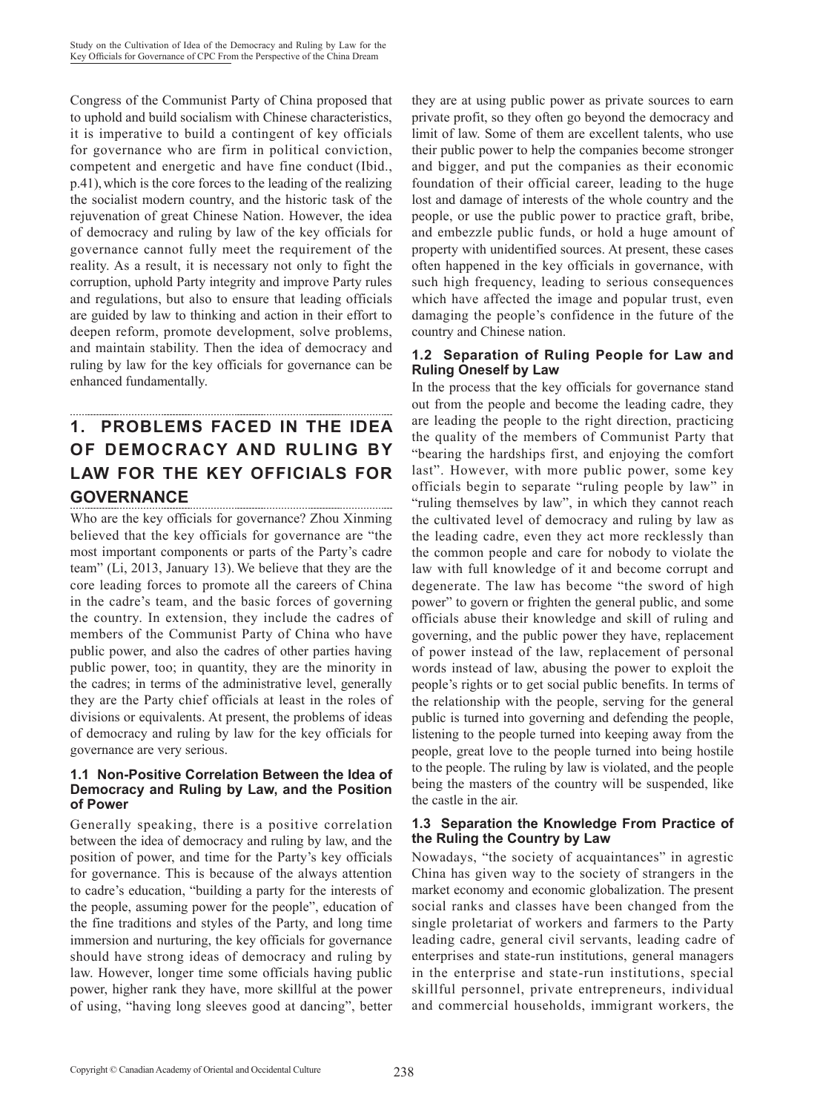Congress of the Communist Party of China proposed that to uphold and build socialism with Chinese characteristics, it is imperative to build a contingent of key officials for governance who are firm in political conviction, competent and energetic and have fine conduct (Ibid., p.41),which is the core forces to the leading of the realizing the socialist modern country, and the historic task of the rejuvenation of great Chinese Nation. However, the idea of democracy and ruling by law of the key officials for governance cannot fully meet the requirement of the reality. As a result, it is necessary not only to fight the corruption, uphold Party integrity and improve Party rules and regulations, but also to ensure that leading officials are guided by law to thinking and action in their effort to deepen reform, promote development, solve problems, and maintain stability. Then the idea of democracy and ruling by law for the key officials for governance can be enhanced fundamentally.

## **1. PROBLEMS FACED IN THE IDEA OF DEMOCRACY AND RULING BY LAW FOR THE KEY OFFICIALS FOR GOVERNANCE**

Who are the key officials for governance? Zhou Xinming believed that the key officials for governance are "the most important components or parts of the Party's cadre team" (Li, 2013, January 13).We believe that they are the core leading forces to promote all the careers of China in the cadre's team, and the basic forces of governing the country. In extension, they include the cadres of members of the Communist Party of China who have public power, and also the cadres of other parties having public power, too; in quantity, they are the minority in the cadres; in terms of the administrative level, generally they are the Party chief officials at least in the roles of divisions or equivalents. At present, the problems of ideas of democracy and ruling by law for the key officials for governance are very serious.

#### **1.1 Non-Positive Correlation Between the Idea of Democracy and Ruling by Law, and the Position of Power**

Generally speaking, there is a positive correlation between the idea of democracy and ruling by law, and the position of power, and time for the Party's key officials for governance. This is because of the always attention to cadre's education, "building a party for the interests of the people, assuming power for the people", education of the fine traditions and styles of the Party, and long time immersion and nurturing, the key officials for governance should have strong ideas of democracy and ruling by law. However, longer time some officials having public power, higher rank they have, more skillful at the power of using, "having long sleeves good at dancing", better

they are at using public power as private sources to earn private profit, so they often go beyond the democracy and limit of law. Some of them are excellent talents, who use their public power to help the companies become stronger and bigger, and put the companies as their economic foundation of their official career, leading to the huge lost and damage of interests of the whole country and the people, or use the public power to practice graft, bribe, and embezzle public funds, or hold a huge amount of property with unidentified sources. At present, these cases often happened in the key officials in governance, with such high frequency, leading to serious consequences which have affected the image and popular trust, even damaging the people's confidence in the future of the country and Chinese nation.

#### **1.2 Separation of Ruling People for Law and Ruling Oneself by Law**

In the process that the key officials for governance stand out from the people and become the leading cadre, they are leading the people to the right direction, practicing the quality of the members of Communist Party that "bearing the hardships first, and enjoying the comfort last". However, with more public power, some key officials begin to separate "ruling people by law" in "ruling themselves by law", in which they cannot reach the cultivated level of democracy and ruling by law as the leading cadre, even they act more recklessly than the common people and care for nobody to violate the law with full knowledge of it and become corrupt and degenerate. The law has become "the sword of high power" to govern or frighten the general public, and some officials abuse their knowledge and skill of ruling and governing, and the public power they have, replacement of power instead of the law, replacement of personal words instead of law, abusing the power to exploit the people's rights or to get social public benefits. In terms of the relationship with the people, serving for the general public is turned into governing and defending the people, listening to the people turned into keeping away from the people, great love to the people turned into being hostile to the people. The ruling by law is violated, and the people being the masters of the country will be suspended, like the castle in the air.

#### **1.3 Separation the Knowledge From Practice of the Ruling the Country by Law**

Nowadays, "the society of acquaintances" in agrestic China has given way to the society of strangers in the market economy and economic globalization. The present social ranks and classes have been changed from the single proletariat of workers and farmers to the Party leading cadre, general civil servants, leading cadre of enterprises and state-run institutions, general managers in the enterprise and state-run institutions, special skillful personnel, private entrepreneurs, individual and commercial households, immigrant workers, the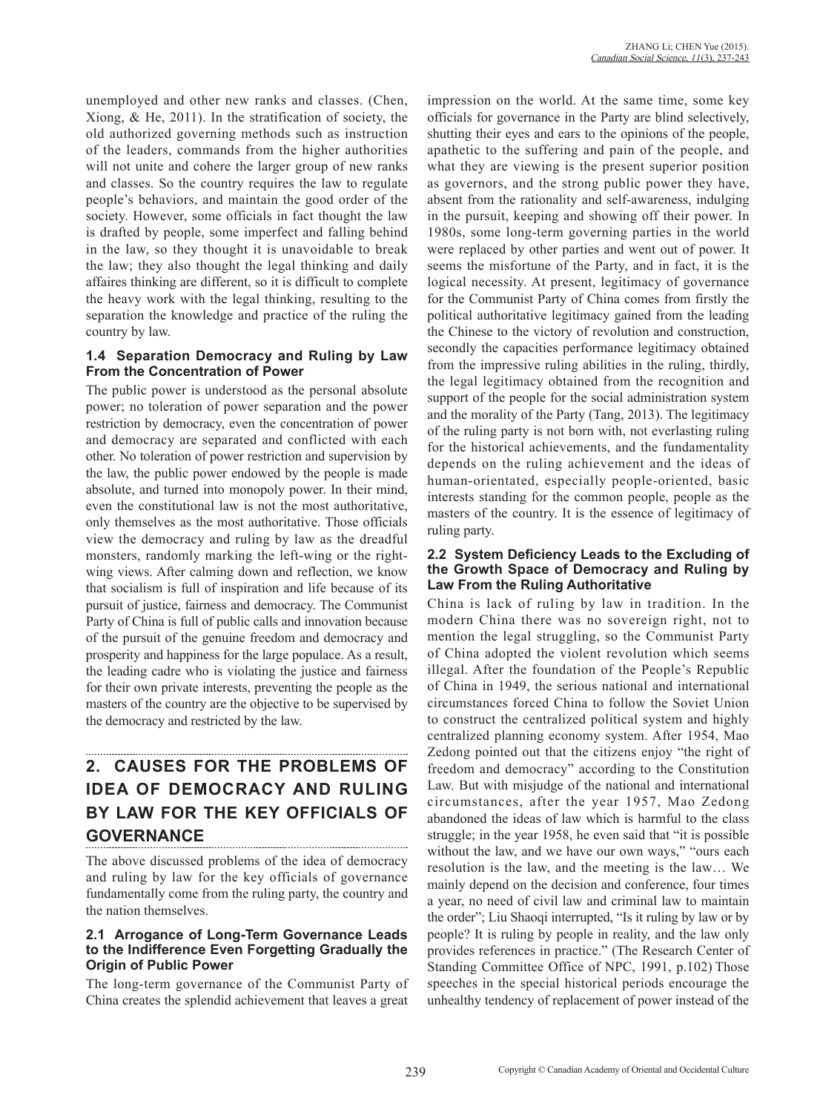unemployed and other new ranks and classes. (Chen, Xiong, & He, 2011). In the stratification of society, the old authorized governing methods such as instruction of the leaders, commands from the higher authorities will not unite and cohere the larger group of new ranks and classes. So the country requires the law to regulate people's behaviors, and maintain the good order of the society. However, some officials in fact thought the law is drafted by people, some imperfect and falling behind in the law, so they thought it is unavoidable to break the law; they also thought the legal thinking and daily affaires thinking are different, so it is difficult to complete the heavy work with the legal thinking, resulting to the separation the knowledge and practice of the ruling the country by law.

#### **1.4 Separation Democracy and Ruling by Law From the Concentration of Power**

The public power is understood as the personal absolute power; no toleration of power separation and the power restriction by democracy, even the concentration of power and democracy are separated and conflicted with each other. No toleration of power restriction and supervision by the law, the public power endowed by the people is made absolute, and turned into monopoly power. In their mind, even the constitutional law is not the most authoritative, only themselves as the most authoritative. Those officials view the democracy and ruling by law as the dreadful monsters, randomly marking the left-wing or the rightwing views. After calming down and reflection, we know that socialism is full of inspiration and life because of its pursuit of justice, fairness and democracy. The Communist Party of China is full of public calls and innovation because of the pursuit of the genuine freedom and democracy and prosperity and happiness for the large populace. As a result, the leading cadre who is violating the justice and fairness for their own private interests, preventing the people as the masters of the country are the objective to be supervised by the democracy and restricted by the law.

# **2. CAUSES FOR THE PROBLEMS OF IDEA OF DEMOCRACY AND RULING BY LAW FOR THE KEY OFFICIALS OF GOVERNANCE**

The above discussed problems of the idea of democracy and ruling by law for the key officials of governance fundamentally come from the ruling party, the country and the nation themselves.

#### **2.1 Arrogance of Long-Term Governance Leads to the Indifference Even Forgetting Gradually the Origin of Public Power**

The long-term governance of the Communist Party of China creates the splendid achievement that leaves a great impression on the world. At the same time, some key officials for governance in the Party are blind selectively, shutting their eyes and ears to the opinions of the people, apathetic to the suffering and pain of the people, and what they are viewing is the present superior position as governors, and the strong public power they have, absent from the rationality and self-awareness, indulging in the pursuit, keeping and showing off their power. In 1980s, some long-term governing parties in the world were replaced by other parties and went out of power. It seems the misfortune of the Party, and in fact, it is the logical necessity. At present, legitimacy of governance for the Communist Party of China comes from firstly the political authoritative legitimacy gained from the leading the Chinese to the victory of revolution and construction, secondly the capacities performance legitimacy obtained from the impressive ruling abilities in the ruling, thirdly, the legal legitimacy obtained from the recognition and support of the people for the social administration system and the morality of the Party (Tang, 2013). The legitimacy of the ruling party is not born with, not everlasting ruling for the historical achievements, and the fundamentality depends on the ruling achievement and the ideas of human-orientated, especially people-oriented, basic interests standing for the common people, people as the masters of the country. It is the essence of legitimacy of ruling party.

#### **2.2 System Deficiency Leads to the Excluding of the Growth Space of Democracy and Ruling by Law From the Ruling Authoritative**

China is lack of ruling by law in tradition. In the modern China there was no sovereign right, not to mention the legal struggling, so the Communist Party of China adopted the violent revolution which seems illegal. After the foundation of the People's Republic of China in 1949, the serious national and international circumstances forced China to follow the Soviet Union to construct the centralized political system and highly centralized planning economy system. After 1954, Mao Zedong pointed out that the citizens enjoy "the right of freedom and democracy" according to the Constitution Law. But with misjudge of the national and international circumstances, after the year 1957, Mao Zedong abandoned the ideas of law which is harmful to the class struggle; in the year 1958, he even said that "it is possible without the law, and we have our own ways," "ours each resolution is the law, and the meeting is the law… We mainly depend on the decision and conference, four times a year, no need of civil law and criminal law to maintain the order"; Liu Shaoqi interrupted, "Is it ruling by law or by people? It is ruling by people in reality, and the law only provides references in practice." (The Research Center of Standing Committee Office of NPC, 1991, p.102) Those speeches in the special historical periods encourage the unhealthy tendency of replacement of power instead of the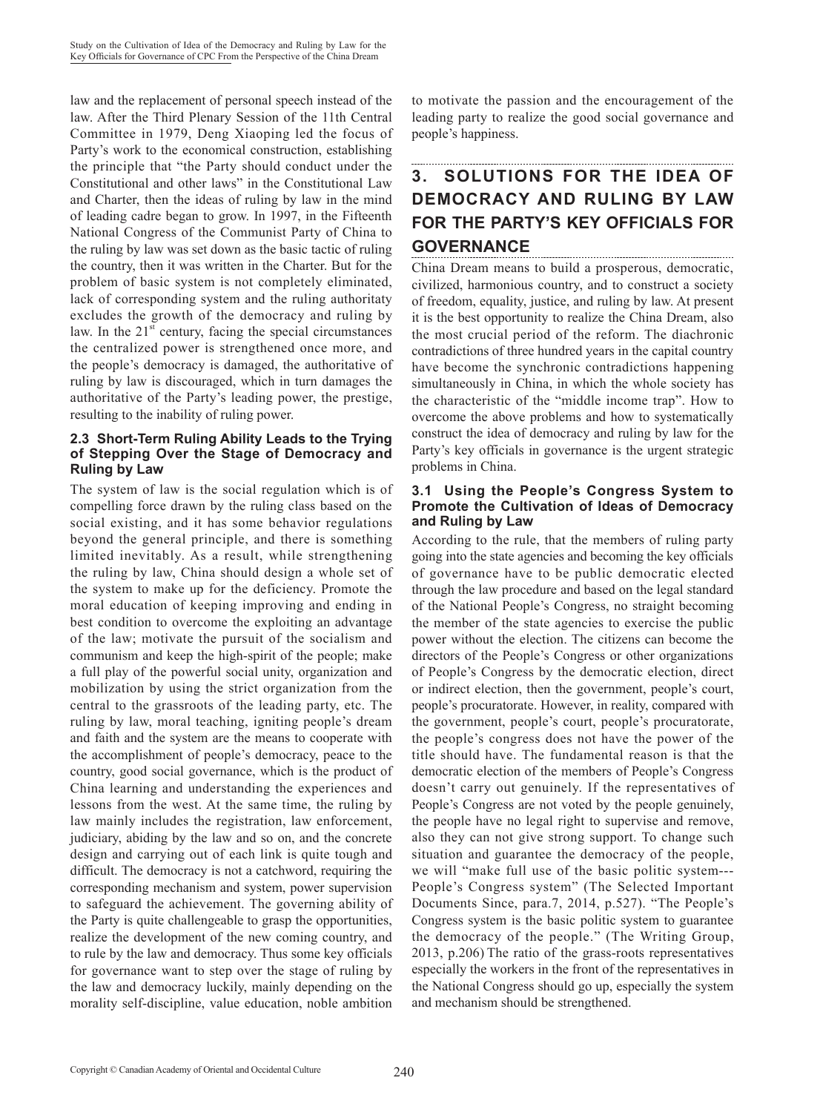law and the replacement of personal speech instead of the law. After the Third Plenary Session of the 11th Central Committee in 1979, Deng Xiaoping led the focus of Party's work to the economical construction, establishing the principle that "the Party should conduct under the Constitutional and other laws" in the Constitutional Law and Charter, then the ideas of ruling by law in the mind of leading cadre began to grow. In 1997, in the Fifteenth National Congress of the Communist Party of China to the ruling by law was set down as the basic tactic of ruling the country, then it was written in the Charter. But for the problem of basic system is not completely eliminated, lack of corresponding system and the ruling authoritaty excludes the growth of the democracy and ruling by law. In the  $21<sup>st</sup>$  century, facing the special circumstances the centralized power is strengthened once more, and the people's democracy is damaged, the authoritative of ruling by law is discouraged, which in turn damages the authoritative of the Party's leading power, the prestige, resulting to the inability of ruling power.

#### **2.3 Short-Term Ruling Ability Leads to the Trying of Stepping Over the Stage of Democracy and Ruling by Law**

The system of law is the social regulation which is of compelling force drawn by the ruling class based on the social existing, and it has some behavior regulations beyond the general principle, and there is something limited inevitably. As a result, while strengthening the ruling by law, China should design a whole set of the system to make up for the deficiency. Promote the moral education of keeping improving and ending in best condition to overcome the exploiting an advantage of the law; motivate the pursuit of the socialism and communism and keep the high-spirit of the people; make a full play of the powerful social unity, organization and mobilization by using the strict organization from the central to the grassroots of the leading party, etc. The ruling by law, moral teaching, igniting people's dream and faith and the system are the means to cooperate with the accomplishment of people's democracy, peace to the country, good social governance, which is the product of China learning and understanding the experiences and lessons from the west. At the same time, the ruling by law mainly includes the registration, law enforcement, judiciary, abiding by the law and so on, and the concrete design and carrying out of each link is quite tough and difficult. The democracy is not a catchword, requiring the corresponding mechanism and system, power supervision to safeguard the achievement. The governing ability of the Party is quite challengeable to grasp the opportunities, realize the development of the new coming country, and to rule by the law and democracy. Thus some key officials for governance want to step over the stage of ruling by the law and democracy luckily, mainly depending on the morality self-discipline, value education, noble ambition

to motivate the passion and the encouragement of the leading party to realize the good social governance and people's happiness.

# **3. SOLUTIONS FOR THE IDEA OF DEMOCRACY AND RULING BY LAW FOR THE PARTY'S KEY OFFICIALS FOR GOVERNANCE**

China Dream means to build a prosperous, democratic, civilized, harmonious country, and to construct a society of freedom, equality, justice, and ruling by law. At present it is the best opportunity to realize the China Dream, also the most crucial period of the reform. The diachronic contradictions of three hundred years in the capital country have become the synchronic contradictions happening simultaneously in China, in which the whole society has the characteristic of the "middle income trap". How to overcome the above problems and how to systematically construct the idea of democracy and ruling by law for the Party's key officials in governance is the urgent strategic problems in China.

#### **3.1 Using the People's Congress System to Promote the Cultivation of Ideas of Democracy and Ruling by Law**

According to the rule, that the members of ruling party going into the state agencies and becoming the key officials of governance have to be public democratic elected through the law procedure and based on the legal standard of the National People's Congress, no straight becoming the member of the state agencies to exercise the public power without the election. The citizens can become the directors of the People's Congress or other organizations of People's Congress by the democratic election, direct or indirect election, then the government, people's court, people's procuratorate. However, in reality, compared with the government, people's court, people's procuratorate, the people's congress does not have the power of the title should have. The fundamental reason is that the democratic election of the members of People's Congress doesn't carry out genuinely. If the representatives of People's Congress are not voted by the people genuinely, the people have no legal right to supervise and remove, also they can not give strong support. To change such situation and guarantee the democracy of the people, we will "make full use of the basic politic system--- People's Congress system" (The Selected Important Documents Since, para.7, 2014, p.527). "The People's Congress system is the basic politic system to guarantee the democracy of the people." (The Writing Group, 2013, p.206) The ratio of the grass-roots representatives especially the workers in the front of the representatives in the National Congress should go up, especially the system and mechanism should be strengthened.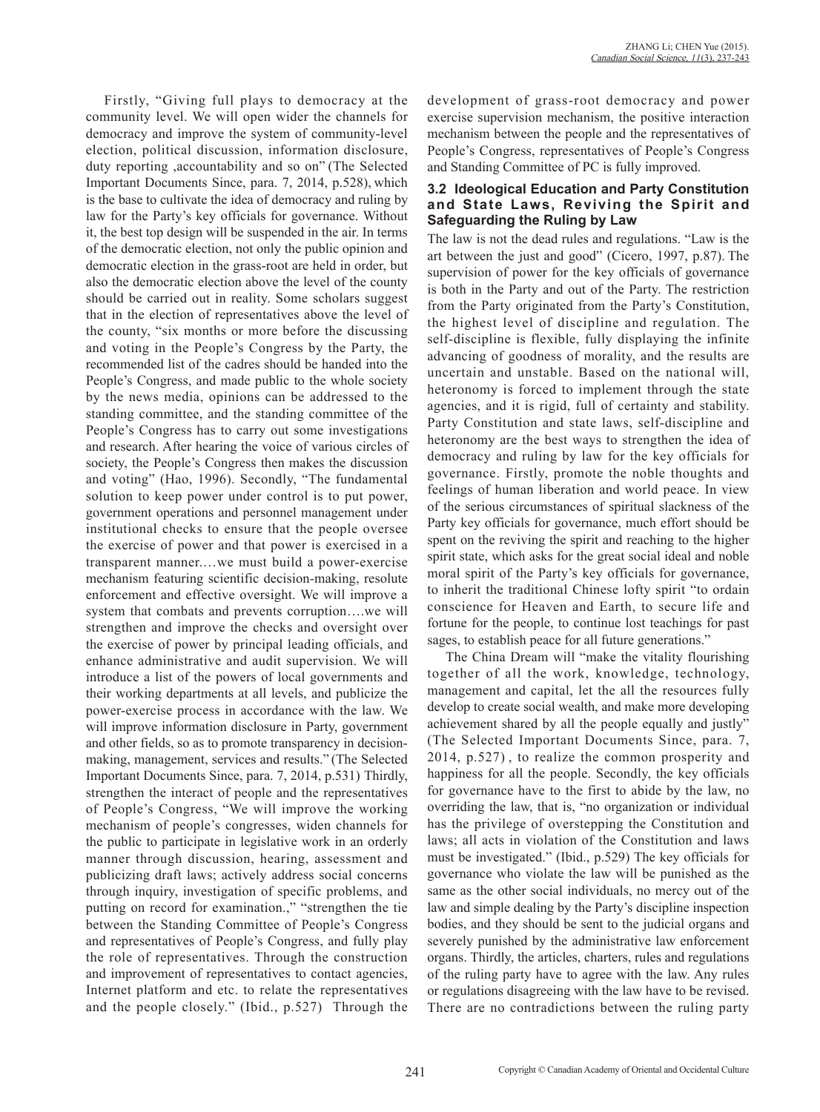Firstly, "Giving full plays to democracy at the community level. We will open wider the channels for democracy and improve the system of community-level election, political discussion, information disclosure, duty reporting ,accountability and so on" (The Selected Important Documents Since, para. 7, 2014, p.528), which is the base to cultivate the idea of democracy and ruling by law for the Party's key officials for governance. Without it, the best top design will be suspended in the air. In terms of the democratic election, not only the public opinion and democratic election in the grass-root are held in order, but also the democratic election above the level of the county should be carried out in reality. Some scholars suggest that in the election of representatives above the level of the county, "six months or more before the discussing and voting in the People's Congress by the Party, the recommended list of the cadres should be handed into the People's Congress, and made public to the whole society by the news media, opinions can be addressed to the standing committee, and the standing committee of the People's Congress has to carry out some investigations and research. After hearing the voice of various circles of society, the People's Congress then makes the discussion and voting" (Hao, 1996). Secondly, "The fundamental solution to keep power under control is to put power, government operations and personnel management under institutional checks to ensure that the people oversee the exercise of power and that power is exercised in a transparent manner.…we must build a power-exercise mechanism featuring scientific decision-making, resolute enforcement and effective oversight. We will improve a system that combats and prevents corruption….we will strengthen and improve the checks and oversight over the exercise of power by principal leading officials, and enhance administrative and audit supervision. We will introduce a list of the powers of local governments and their working departments at all levels, and publicize the power-exercise process in accordance with the law. We will improve information disclosure in Party, government and other fields, so as to promote transparency in decisionmaking, management, services and results." (The Selected Important Documents Since, para. 7, 2014, p.531) Thirdly, strengthen the interact of people and the representatives of People's Congress, "We will improve the working mechanism of people's congresses, widen channels for the public to participate in legislative work in an orderly manner through discussion, hearing, assessment and publicizing draft laws; actively address social concerns through inquiry, investigation of specific problems, and putting on record for examination.," "strengthen the tie between the Standing Committee of People's Congress and representatives of People's Congress, and fully play the role of representatives. Through the construction and improvement of representatives to contact agencies, Internet platform and etc. to relate the representatives and the people closely." (Ibid., p.527) Through the

development of grass-root democracy and power exercise supervision mechanism, the positive interaction mechanism between the people and the representatives of People's Congress, representatives of People's Congress and Standing Committee of PC is fully improved.

#### **3.2 Ideological Education and Party Constitution and State Laws, Reviving the Spirit and Safeguarding the Ruling by Law**

The law is not the dead rules and regulations. "Law is the art between the just and good" (Cicero, 1997, p.87). The supervision of power for the key officials of governance is both in the Party and out of the Party. The restriction from the Party originated from the Party's Constitution, the highest level of discipline and regulation. The self-discipline is flexible, fully displaying the infinite advancing of goodness of morality, and the results are uncertain and unstable. Based on the national will, heteronomy is forced to implement through the state agencies, and it is rigid, full of certainty and stability. Party Constitution and state laws, self-discipline and heteronomy are the best ways to strengthen the idea of democracy and ruling by law for the key officials for governance. Firstly, promote the noble thoughts and feelings of human liberation and world peace. In view of the serious circumstances of spiritual slackness of the Party key officials for governance, much effort should be spent on the reviving the spirit and reaching to the higher spirit state, which asks for the great social ideal and noble moral spirit of the Party's key officials for governance, to inherit the traditional Chinese lofty spirit "to ordain conscience for Heaven and Earth, to secure life and fortune for the people, to continue lost teachings for past sages, to establish peace for all future generations."

The China Dream will "make the vitality flourishing together of all the work, knowledge, technology, management and capital, let the all the resources fully develop to create social wealth, and make more developing achievement shared by all the people equally and justly" (The Selected Important Documents Since, para. 7, 2014, p.527) , to realize the common prosperity and happiness for all the people. Secondly, the key officials for governance have to the first to abide by the law, no overriding the law, that is, "no organization or individual has the privilege of overstepping the Constitution and laws; all acts in violation of the Constitution and laws must be investigated." (Ibid., p.529) The key officials for governance who violate the law will be punished as the same as the other social individuals, no mercy out of the law and simple dealing by the Party's discipline inspection bodies, and they should be sent to the judicial organs and severely punished by the administrative law enforcement organs. Thirdly, the articles, charters, rules and regulations of the ruling party have to agree with the law. Any rules or regulations disagreeing with the law have to be revised. There are no contradictions between the ruling party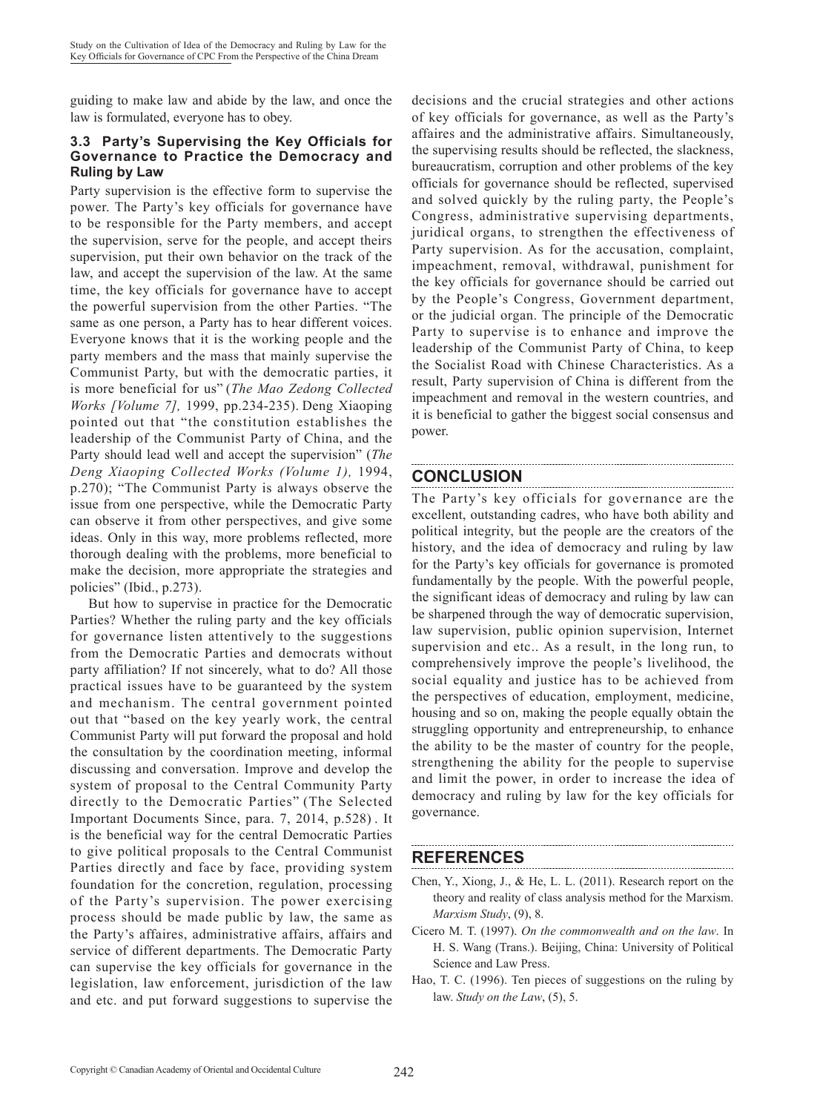guiding to make law and abide by the law, and once the law is formulated, everyone has to obey.

#### **3.3 Party's Supervising the Key Officials for Governance to Practice the Democracy and Ruling by Law**

Party supervision is the effective form to supervise the power. The Party's key officials for governance have to be responsible for the Party members, and accept the supervision, serve for the people, and accept theirs supervision, put their own behavior on the track of the law, and accept the supervision of the law. At the same time, the key officials for governance have to accept the powerful supervision from the other Parties. "The same as one person, a Party has to hear different voices. Everyone knows that it is the working people and the party members and the mass that mainly supervise the Communist Party, but with the democratic parties, it is more beneficial for us" (*The Mao Zedong Collected Works [Volume 7],* 1999, pp.234-235). Deng Xiaoping pointed out that "the constitution establishes the leadership of the Communist Party of China, and the Party should lead well and accept the supervision" (*The Deng Xiaoping Collected Works (Volume 1),* 1994, p.270); "The Communist Party is always observe the issue from one perspective, while the Democratic Party can observe it from other perspectives, and give some ideas. Only in this way, more problems reflected, more thorough dealing with the problems, more beneficial to make the decision, more appropriate the strategies and policies" (Ibid., p.273).

But how to supervise in practice for the Democratic Parties? Whether the ruling party and the key officials for governance listen attentively to the suggestions from the Democratic Parties and democrats without party affiliation? If not sincerely, what to do? All those practical issues have to be guaranteed by the system and mechanism. The central government pointed out that "based on the key yearly work, the central Communist Party will put forward the proposal and hold the consultation by the coordination meeting, informal discussing and conversation. Improve and develop the system of proposal to the Central Community Party directly to the Democratic Parties" (The Selected Important Documents Since, para. 7, 2014, p.528) . It is the beneficial way for the central Democratic Parties to give political proposals to the Central Communist Parties directly and face by face, providing system foundation for the concretion, regulation, processing of the Party's supervision. The power exercising process should be made public by law, the same as the Party's affaires, administrative affairs, affairs and service of different departments. The Democratic Party can supervise the key officials for governance in the legislation, law enforcement, jurisdiction of the law and etc. and put forward suggestions to supervise the

decisions and the crucial strategies and other actions of key officials for governance, as well as the Party's affaires and the administrative affairs. Simultaneously, the supervising results should be reflected, the slackness, bureaucratism, corruption and other problems of the key officials for governance should be reflected, supervised and solved quickly by the ruling party, the People's Congress, administrative supervising departments, juridical organs, to strengthen the effectiveness of Party supervision. As for the accusation, complaint, impeachment, removal, withdrawal, punishment for the key officials for governance should be carried out by the People's Congress, Government department, or the judicial organ. The principle of the Democratic Party to supervise is to enhance and improve the leadership of the Communist Party of China, to keep the Socialist Road with Chinese Characteristics. As a result, Party supervision of China is different from the impeachment and removal in the western countries, and it is beneficial to gather the biggest social consensus and power.

#### **CONCLUSION**

The Party's key officials for governance are the excellent, outstanding cadres, who have both ability and political integrity, but the people are the creators of the history, and the idea of democracy and ruling by law for the Party's key officials for governance is promoted fundamentally by the people. With the powerful people, the significant ideas of democracy and ruling by law can be sharpened through the way of democratic supervision, law supervision, public opinion supervision, Internet supervision and etc.. As a result, in the long run, to comprehensively improve the people's livelihood, the social equality and justice has to be achieved from the perspectives of education, employment, medicine, housing and so on, making the people equally obtain the struggling opportunity and entrepreneurship, to enhance the ability to be the master of country for the people, strengthening the ability for the people to supervise and limit the power, in order to increase the idea of democracy and ruling by law for the key officials for governance.

## **REFERENCES**

Chen, Y., Xiong, J., & He, L. L. (2011). Research report on the theory and reality of class analysis method for the Marxism. *Marxism Study*, (9), 8.

- Cicero M. T. (1997). *On the commonwealth and on the law*. In H. S. Wang (Trans.). Beijing, China: University of Political Science and Law Press.
- Hao, T. C. (1996). Ten pieces of suggestions on the ruling by law. *Study on the Law*, (5), 5.